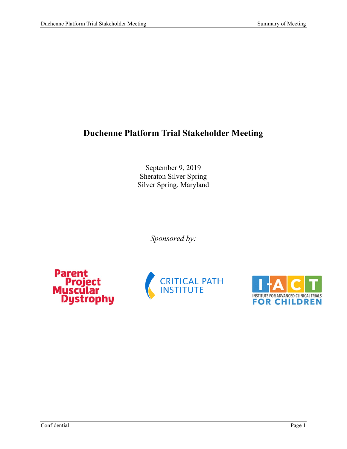# **Duchenne Platform Trial Stakeholder Meeting**

September 9, 2019 Sheraton Silver Spring Silver Spring, Maryland

*Sponsored by:*





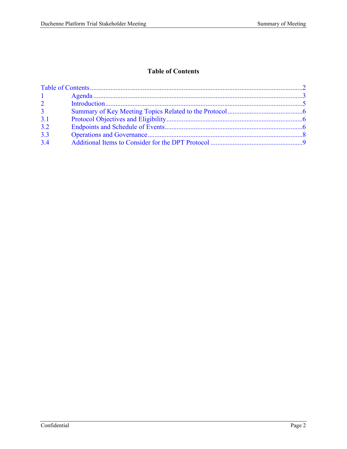## **Table of Contents**

<span id="page-1-0"></span>

| $1 \qquad \qquad$ |  |  |
|-------------------|--|--|
| $\overline{2}$    |  |  |
| 3 <sup>1</sup>    |  |  |
| 3.1               |  |  |
| 3.2               |  |  |
| 3.3               |  |  |
| 3.4               |  |  |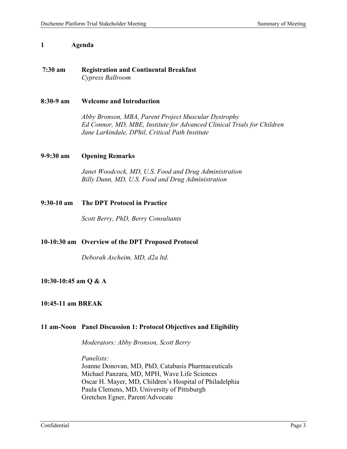#### <span id="page-2-0"></span>**1 Agenda**

## **7:30 am Registration and Continental Breakfast**  *Cypress Ballroom*

#### **8:30-9 am Welcome and Introduction**

*Abby Bronson, MBA, Parent Project Muscular Dystrophy Ed Connor, MD, MBE, Institute for Advanced Clinical Trials for Children Jane Larkindale, DPhil, Critical Path Institute* 

#### **9-9:30 am Opening Remarks**

*Janet Woodcock, MD, U.S. Food and Drug Administration Billy Dunn, MD, U.S. Food and Drug Administration* 

#### **9:30-10 am The DPT Protocol in Practice**

*Scott Berry, PhD, Berry Consultants* 

### **10-10:30 am Overview of the DPT Proposed Protocol**

*Deborah Ascheim, MD, d2a ltd.* 

### **10:30-10:45 am Q & A**

#### **10:45-11 am BREAK**

### **11 am-Noon Panel Discussion 1: Protocol Objectives and Eligibility**

*Moderators: Abby Bronson, Scott Berry* 

*Panelists:* 

Joanne Donovan, MD, PhD, Catabasis Pharmaceuticals Michael Panzara, MD, MPH, Wave Life Sciences Oscar H. Mayer, MD, Children's Hospital of Philadelphia Paula Clemens, MD, University of Pittsburgh Gretchen Egner, Parent/Advocate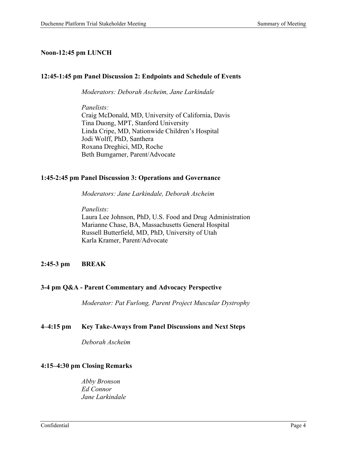## **Noon-12:45 pm LUNCH**

## **12:45-1:45 pm Panel Discussion 2: Endpoints and Schedule of Events**

*Moderators: Deborah Ascheim, Jane Larkindale* 

*Panelists:*  Craig McDonald, MD, University of California, Davis Tina Duong, MPT, Stanford University Linda Cripe, MD, Nationwide Children's Hospital Jodi Wolff, PhD, Santhera Roxana Dreghici, MD, Roche Beth Bumgarner, Parent/Advocate

### **1:45-2:45 pm Panel Discussion 3: Operations and Governance**

*Moderators: Jane Larkindale, Deborah Ascheim* 

*Panelists:* 

Laura Lee Johnson, PhD, U.S. Food and Drug Administration Marianne Chase, BA, Massachusetts General Hospital Russell Butterfield, MD, PhD, University of Utah Karla Kramer, Parent/Advocate

## **2:45-3 pm BREAK**

### **3-4 pm Q&A - Parent Commentary and Advocacy Perspective**

*Moderator: Pat Furlong, Parent Project Muscular Dystrophy*

### **4–4:15 pm Key Take-Aways from Panel Discussions and Next Steps**

*Deborah Ascheim* 

### **4:15–4:30 pm Closing Remarks**

*Abby Bronson Ed Connor Jane Larkindale*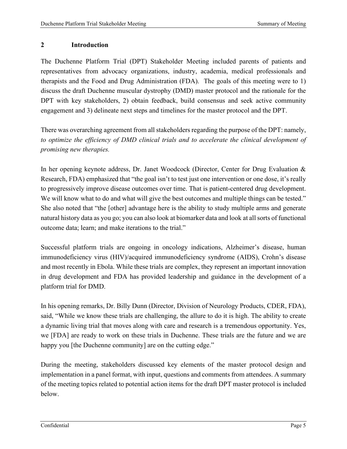## <span id="page-4-0"></span>**2 Introduction**

The Duchenne Platform Trial (DPT) Stakeholder Meeting included parents of patients and representatives from advocacy organizations, industry, academia, medical professionals and therapists and the Food and Drug Administration (FDA). The goals of this meeting were to 1) discuss the draft Duchenne muscular dystrophy (DMD) master protocol and the rationale for the DPT with key stakeholders, 2) obtain feedback, build consensus and seek active community engagement and 3) delineate next steps and timelines for the master protocol and the DPT.

There was overarching agreement from all stakeholders regarding the purpose of the DPT: namely, *to optimize the efficiency of DMD clinical trials and to accelerate the clinical development of promising new therapies.* 

In her opening keynote address, Dr. Janet Woodcock (Director, Center for Drug Evaluation & Research, FDA) emphasized that "the goal isn't to test just one intervention or one dose, it's really to progressively improve disease outcomes over time. That is patient-centered drug development. We will know what to do and what will give the best outcomes and multiple things can be tested." She also noted that "the [other] advantage here is the ability to study multiple arms and generate natural history data as you go; you can also look at biomarker data and look at all sorts of functional outcome data; learn; and make iterations to the trial."

Successful platform trials are ongoing in oncology indications, Alzheimer's disease, human immunodeficiency virus (HIV)/acquired immunodeficiency syndrome (AIDS), Crohn's disease and most recently in Ebola. While these trials are complex, they represent an important innovation in drug development and FDA has provided leadership and guidance in the development of a platform trial for DMD.

In his opening remarks, Dr. Billy Dunn (Director, Division of Neurology Products, CDER, FDA), said, "While we know these trials are challenging, the allure to do it is high. The ability to create a dynamic living trial that moves along with care and research is a tremendous opportunity. Yes, we [FDA] are ready to work on these trials in Duchenne. These trials are the future and we are happy you [the Duchenne community] are on the cutting edge."

During the meeting, stakeholders discussed key elements of the master protocol design and implementation in a panel format, with input, questions and comments from attendees. A summary of the meeting topics related to potential action items for the draft DPT master protocol is included below.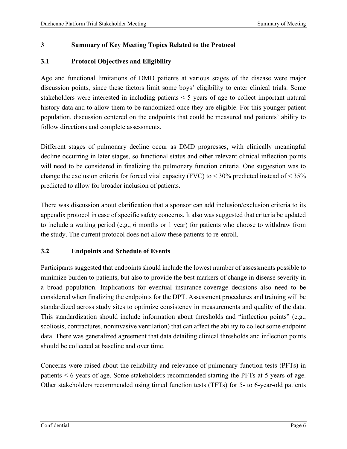# <span id="page-5-0"></span>**3 Summary of Key Meeting Topics Related to the Protocol**

## <span id="page-5-1"></span>**3.1 Protocol Objectives and Eligibility**

Age and functional limitations of DMD patients at various stages of the disease were major discussion points, since these factors limit some boys' eligibility to enter clinical trials. Some stakeholders were interested in including patients < 5 years of age to collect important natural history data and to allow them to be randomized once they are eligible. For this younger patient population, discussion centered on the endpoints that could be measured and patients' ability to follow directions and complete assessments.

Different stages of pulmonary decline occur as DMD progresses, with clinically meaningful decline occurring in later stages, so functional status and other relevant clinical inflection points will need to be considered in finalizing the pulmonary function criteria. One suggestion was to change the exclusion criteria for forced vital capacity (FVC) to < 30% predicted instead of < 35% predicted to allow for broader inclusion of patients.

There was discussion about clarification that a sponsor can add inclusion/exclusion criteria to its appendix protocol in case of specific safety concerns. It also was suggested that criteria be updated to include a waiting period (e.g., 6 months or 1 year) for patients who choose to withdraw from the study. The current protocol does not allow these patients to re-enroll.

## <span id="page-5-2"></span>**3.2 Endpoints and Schedule of Events**

Participants suggested that endpoints should include the lowest number of assessments possible to minimize burden to patients, but also to provide the best markers of change in disease severity in a broad population. Implications for eventual insurance-coverage decisions also need to be considered when finalizing the endpoints for the DPT. Assessment procedures and training will be standardized across study sites to optimize consistency in measurements and quality of the data. This standardization should include information about thresholds and "inflection points" (e.g., scoliosis, contractures, noninvasive ventilation) that can affect the ability to collect some endpoint data. There was generalized agreement that data detailing clinical thresholds and inflection points should be collected at baseline and over time.

Concerns were raised about the reliability and relevance of pulmonary function tests (PFTs) in patients < 6 years of age. Some stakeholders recommended starting the PFTs at 5 years of age. Other stakeholders recommended using timed function tests (TFTs) for 5- to 6-year-old patients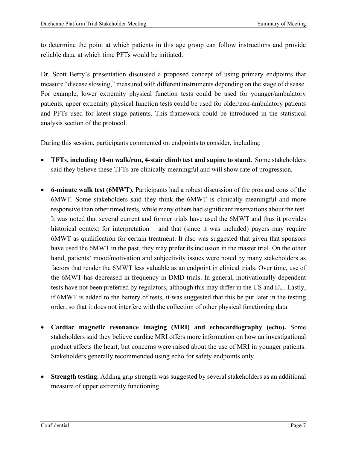to determine the point at which patients in this age group can follow instructions and provide reliable data, at which time PFTs would be initiated.

Dr. Scott Berry's presentation discussed a proposed concept of using primary endpoints that measure "disease slowing," measured with different instruments depending on the stage of disease. For example, lower extremity physical function tests could be used for younger/ambulatory patients, upper extremity physical function tests could be used for older/non-ambulatory patients and PFTs used for latest-stage patients. This framework could be introduced in the statistical analysis section of the protocol.

During this session, participants commented on endpoints to consider, including:

- **TFTs, including 10-m walk/run, 4-stair climb test and supine to stand.** Some stakeholders said they believe these TFTs are clinically meaningful and will show rate of progression.
- **6-minute walk test (6MWT).** Participants had a robust discussion of the pros and cons of the 6MWT. Some stakeholders said they think the 6MWT is clinically meaningful and more responsive than other timed tests, while many others had significant reservations about the test. It was noted that several current and former trials have used the 6MWT and thus it provides historical context for interpretation – and that (since it was included) payers may require 6MWT as qualification for certain treatment. It also was suggested that given that sponsors have used the 6MWT in the past, they may prefer its inclusion in the master trial. On the other hand, patients' mood/motivation and subjectivity issues were noted by many stakeholders as factors that render the 6MWT less valuable as an endpoint in clinical trials. Over time, use of the 6MWT has decreased in frequency in DMD trials. In general, motivationally dependent tests have not been preferred by regulators, although this may differ in the US and EU. Lastly, if 6MWT is added to the battery of tests, it was suggested that this be put later in the testing order, so that it does not interfere with the collection of other physical functioning data.
- **Cardiac magnetic resonance imaging (MRI) and echocardiography (echo).** Some stakeholders said they believe cardiac MRI offers more information on how an investigational product affects the heart, but concerns were raised about the use of MRI in younger patients. Stakeholders generally recommended using echo for safety endpoints only.
- **Strength testing.** Adding grip strength was suggested by several stakeholders as an additional measure of upper extremity functioning.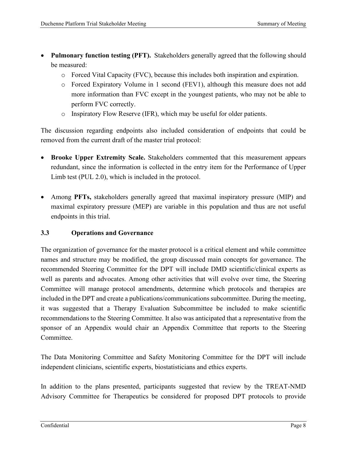- **Pulmonary function testing (PFT).** Stakeholders generally agreed that the following should be measured:
	- o Forced Vital Capacity (FVC), because this includes both inspiration and expiration.
	- o Forced Expiratory Volume in 1 second (FEV1), although this measure does not add more information than FVC except in the youngest patients, who may not be able to perform FVC correctly.
	- o Inspiratory Flow Reserve (IFR), which may be useful for older patients.

The discussion regarding endpoints also included consideration of endpoints that could be removed from the current draft of the master trial protocol:

- **Brooke Upper Extremity Scale.** Stakeholders commented that this measurement appears redundant, since the information is collected in the entry item for the Performance of Upper Limb test (PUL 2.0), which is included in the protocol.
- Among **PFTs,** stakeholders generally agreed that maximal inspiratory pressure (MIP) and maximal expiratory pressure (MEP) are variable in this population and thus are not useful endpoints in this trial.

# <span id="page-7-0"></span>**3.3 Operations and Governance**

The organization of governance for the master protocol is a critical element and while committee names and structure may be modified, the group discussed main concepts for governance. The recommended Steering Committee for the DPT will include DMD scientific/clinical experts as well as parents and advocates. Among other activities that will evolve over time, the Steering Committee will manage protocol amendments, determine which protocols and therapies are included in the DPT and create a publications/communications subcommittee. During the meeting, it was suggested that a Therapy Evaluation Subcommittee be included to make scientific recommendations to the Steering Committee. It also was anticipated that a representative from the sponsor of an Appendix would chair an Appendix Committee that reports to the Steering Committee.

The Data Monitoring Committee and Safety Monitoring Committee for the DPT will include independent clinicians, scientific experts, biostatisticians and ethics experts.

In addition to the plans presented, participants suggested that review by the TREAT-NMD Advisory Committee for Therapeutics be considered for proposed DPT protocols to provide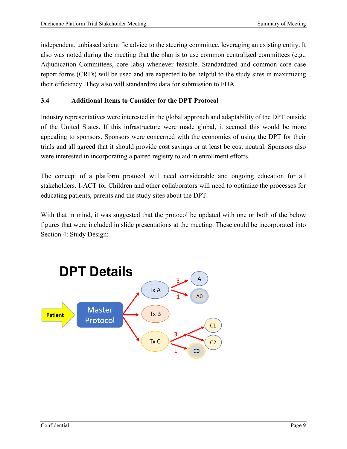independent, unbiased scientific advice to the steering committee, leveraging an existing entity. It also was noted during the meeting that the plan is to use common centralized committees (e.g., Adjudication Committees, core labs) whenever feasible. Standardized and common core case report forms (CRFs) will be used and are expected to be helpful to the study sites in maximizing their efficiency. They also will standardize data for submission to FDA.

# <span id="page-8-0"></span>**3.4 Additional Items to Consider for the DPT Protocol**

Industry representatives were interested in the global approach and adaptability of the DPT outside of the United States. If this infrastructure were made global, it seemed this would be more appealing to sponsors. Sponsors were concerned with the economics of using the DPT for their trials and all agreed that it should provide cost savings or at least be cost neutral. Sponsors also were interested in incorporating a paired registry to aid in enrollment efforts.

The concept of a platform protocol will need considerable and ongoing education for all stakeholders. I-ACT for Children and other collaborators will need to optimize the processes for educating patients, parents and the study sites about the DPT.

With that in mind, it was suggested that the protocol be updated with one or both of the below figures that were included in slide presentations at the meeting. These could be incorporated into Section 4: Study Design: